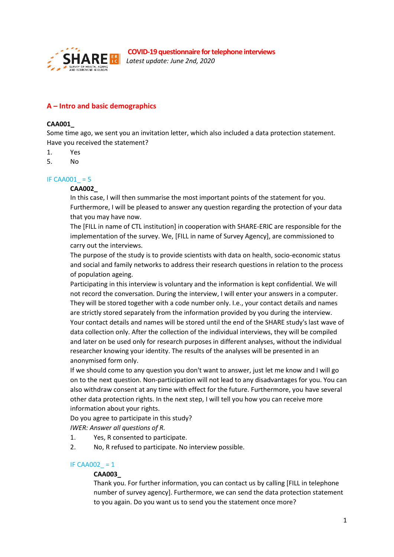

*Latest update: June 2nd, 2020*

# **A – Intro and basic demographics**

#### **CAA001\_**

Some time ago, we sent you an invitation letter, which also included a data protection statement. Have you received the statement?

- 1. Yes
- 5. No

#### IF CAA001  $= 5$

#### **CAA002\_**

In this case, I will then summarise the most important points of the statement for you. Furthermore, I will be pleased to answer any question regarding the protection of your data that you may have now.

The [FILL in name of CTL institution] in cooperation with SHARE-ERIC are responsible for the implementation of the survey. We, [FILL in name of Survey Agency], are commissioned to carry out the interviews.

The purpose of the study is to provide scientists with data on health, socio-economic status and social and family networks to address their research questions in relation to the process of population ageing.

Participating in this interview is voluntary and the information is kept confidential. We will not record the conversation. During the interview, I will enter your answers in a computer. They will be stored together with a code number only. I.e., your contact details and names are strictly stored separately from the information provided by you during the interview. Your contact details and names will be stored until the end of the SHARE study's last wave of data collection only. After the collection of the individual interviews, they will be compiled and later on be used only for research purposes in different analyses, without the individual researcher knowing your identity. The results of the analyses will be presented in an anonymised form only.

If we should come to any question you don't want to answer, just let me know and I will go on to the next question. Non-participation will not lead to any disadvantages for you. You can also withdraw consent at any time with effect for the future. Furthermore, you have several other data protection rights. In the next step, I will tell you how you can receive more information about your rights.

Do you agree to participate in this study?

*IWER: Answer all questions of R.*

- 1. Yes, R consented to participate.
- 2. No, R refused to participate. No interview possible.

#### IF CAA002  $= 1$

#### **CAA003\_**

Thank you. For further information, you can contact us by calling [FILL in telephone number of survey agency]. Furthermore, we can send the data protection statement to you again. Do you want us to send you the statement once more?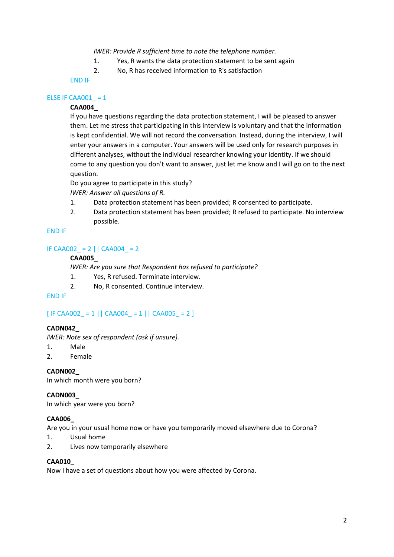*IWER: Provide R sufficient time to note the telephone number.*

- 1. Yes, R wants the data protection statement to be sent again
- 2. No, R has received information to R's satisfaction

END IF

#### ELSE IF CAA001  $= 1$

# **CAA004\_**

If you have questions regarding the data protection statement, I will be pleased to answer them. Let me stress that participating in this interview is voluntary and that the information is kept confidential. We will not record the conversation. Instead, during the interview, I will enter your answers in a computer. Your answers will be used only for research purposes in different analyses, without the individual researcher knowing your identity. If we should come to any question you don't want to answer, just let me know and I will go on to the next question.

Do you agree to participate in this study?

*IWER: Answer all questions of R.*

- 1. Data protection statement has been provided; R consented to participate.
- 2. Data protection statement has been provided; R refused to participate. No interview possible.

#### END IF

#### IF CAA002 = 2  $|$  CAA004 = 2

#### **CAA005\_**

*IWER: Are you sure that Respondent has refused to participate?* 

- 1. Yes, R refused. Terminate interview.
- 2. No, R consented. Continue interview.

#### END IF

# $[IF CAAO02 = 1 || CAAO04 = 1 || CAAO05 = 2 ]$

#### **CADN042\_**

*IWER: Note sex of respondent (ask if unsure).* 

- 1. Male
- 2. Female

## **CADN002\_**

In which month were you born?

#### **CADN003\_**

In which year were you born?

## **CAA006\_**

Are you in your usual home now or have you temporarily moved elsewhere due to Corona?

- 1. Usual home
- 2. Lives now temporarily elsewhere

#### **CAA010\_**

Now I have a set of questions about how you were affected by Corona.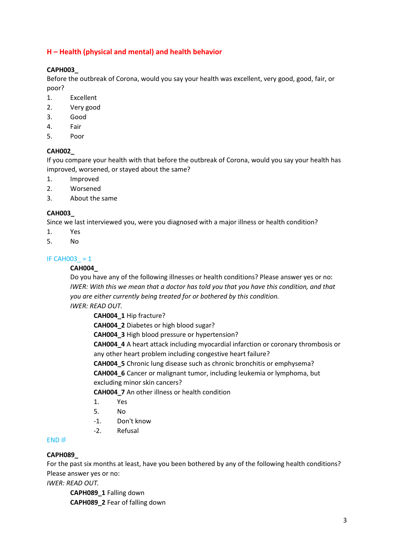# **H – Health (physical and mental) and health behavior**

#### **CAPH003\_**

Before the outbreak of Corona, would you say your health was excellent, very good, good, fair, or poor?

- 1. Excellent
- 2. Very good
- 3. Good
- 4. Fair
- 5. Poor

#### **CAH002\_**

If you compare your health with that before the outbreak of Corona, would you say your health has improved, worsened, or stayed about the same?

- 1. Improved
- 2. Worsened
- 3. About the same

#### **CAH003\_**

Since we last interviewed you, were you diagnosed with a major illness or health condition?

- 1. Yes
- 5. No

## IF CAH003  $= 1$

#### **CAH004\_**

Do you have any of the following illnesses or health conditions? Please answer yes or no: *IWER: With this we mean that a doctor has told you that you have this condition, and that you are either currently being treated for or bothered by this condition.* 

*IWER: READ OUT.* 

**CAH004\_1** Hip fracture?

**CAH004\_2** Diabetes or high blood sugar?

**CAH004\_3** High blood pressure or hypertension?

**CAH004\_4** A heart attack including myocardial infarction or coronary thrombosis or any other heart problem including congestive heart failure?

**CAH004\_5** Chronic lung disease such as chronic bronchitis or emphysema? **CAH004\_6** Cancer or malignant tumor, including leukemia or lymphoma, but excluding minor skin cancers?

**CAH004\_7** An other illness or health condition

- 1. Yes
- 5. No
- -1. Don't know
- -2. Refusal

#### END IF

#### **CAPH089\_**

For the past six months at least, have you been bothered by any of the following health conditions? Please answer yes or no:

*IWER: READ OUT.* 

**CAPH089\_1** Falling down **CAPH089\_2** Fear of falling down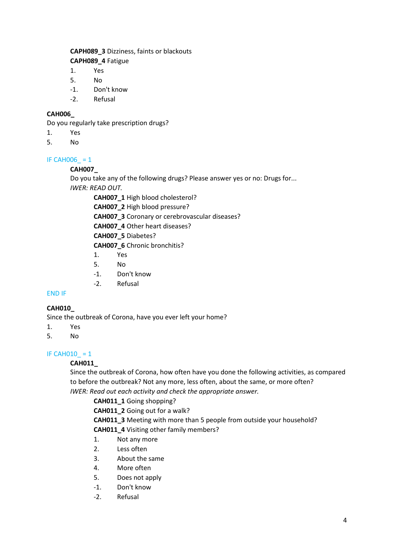# **CAPH089\_3** Dizziness, faints or blackouts

**CAPH089\_4** Fatigue

- 1. Yes
- 5. No
- -1. Don't know
- -2. Refusal

# **CAH006\_**

Do you regularly take prescription drugs?

- 1. Yes
- 5. No

# IF CAHOO6  $= 1$

# **CAH007\_**

Do you take any of the following drugs? Please answer yes or no: Drugs for... *IWER: READ OUT.* 

**CAH007\_1** High blood cholesterol?

**CAH007\_2** High blood pressure? **CAH007\_3** Coronary or cerebrovascular diseases?

**CAH007\_4** Other heart diseases?

**CAH007\_5** Diabetes?

**CAH007\_6** Chronic bronchitis?

- 1. Yes
- 5. No
- -1. Don't know
- -2. Refusal

# END IF

# **CAH010\_**

Since the outbreak of Corona, have you ever left your home?

- 1. Yes
- 5. No

# IF CAHO $10 = 1$

# **CAH011\_**

Since the outbreak of Corona, how often have you done the following activities, as compared to before the outbreak? Not any more, less often, about the same, or more often? *IWER: Read out each activity and check the appropriate answer.* 

**CAH011\_1** Going shopping?

**CAH011\_2** Going out for a walk?

**CAH011\_3** Meeting with more than 5 people from outside your household? **CAH011\_4** Visiting other family members?

- 1. Not any more
- 2. Less often
- 3. About the same
- 4. More often
- 5. Does not apply
- -1. Don't know
- -2. Refusal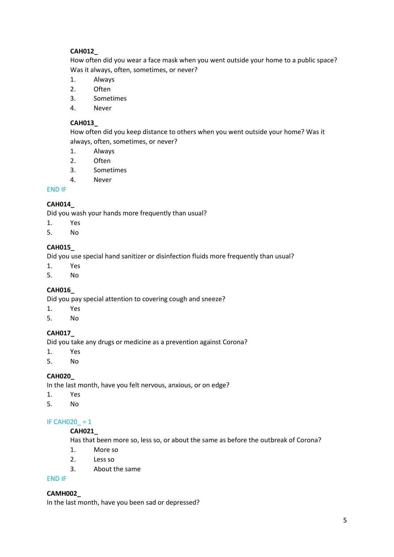# **CAH012\_**

How often did you wear a face mask when you went outside your home to a public space? Was it always, often, sometimes, or never?

- 1. Always
- 2. Often
- 3. Sometimes
- 4. Never

## **CAH013\_**

How often did you keep distance to others when you went outside your home? Was it always, often, sometimes, or never?

- 1. Always
- 2. Often
- 3. Sometimes
- 4. Never

## END IF

# **CAH014\_**

Did you wash your hands more frequently than usual?

- 1. Yes
- 5. No

# **CAH015\_**

Did you use special hand sanitizer or disinfection fluids more frequently than usual?

- 1. Yes
- 5. No

# **CAH016\_**

Did you pay special attention to covering cough and sneeze?

- 1. Yes
- 5. No

## **CAH017\_**

Did you take any drugs or medicine as a prevention against Corona?

- 1. Yes
- 5. No

## **CAH020\_**

In the last month, have you felt nervous, anxious, or on edge?

- 1. Yes
- 5. No

## IF CAH020  $= 1$

## **CAH021\_**

Has that been more so, less so, or about the same as before the outbreak of Corona?

- 1. More so
- 2. Less so
- 3. About the same

#### END IF

## **CAMH002\_**

In the last month, have you been sad or depressed?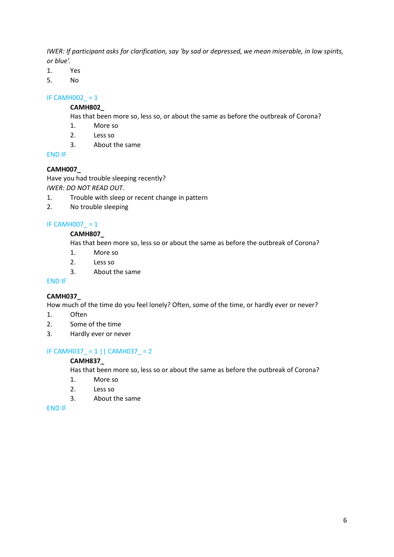*IWER: If participant asks for clarification, say 'by sad or depressed, we mean miserable, in low spirits, or blue'.* 

- 1. Yes
- 5. No

## IF CAMHOO2 $= 1$

#### **CAMH802\_**

Has that been more so, less so, or about the same as before the outbreak of Corona?

- 1. More so
- 2. Less so
- 3. About the same

END IF

# **CAMH007\_**

Have you had trouble sleeping recently? *IWER: DO NOT READ OUT.* 

- 1. Trouble with sleep or recent change in pattern
- 2. No trouble sleeping

# IF CAMH007  $= 1$

## **CAMH807\_**

Has that been more so, less so or about the same as before the outbreak of Corona?

- 1. More so
- 2. Less so
- 3. About the same

## END IF

## **CAMH037\_**

How much of the time do you feel lonely? Often, some of the time, or hardly ever or never?

- 1. Often
- 2. Some of the time
- 3. Hardly ever or never

# IF CAMH037\_ = 1 || CAMH037\_ = 2

## **CAMH837\_**

Has that been more so, less so or about the same as before the outbreak of Corona?

- 1. More so
- 2. Less so
- 3. About the same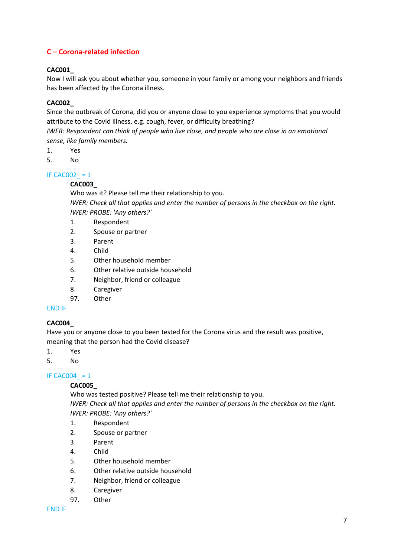# **C – Corona-related infection**

# **CAC001\_**

Now I will ask you about whether you, someone in your family or among your neighbors and friends has been affected by the Corona illness.

# **CAC002\_**

Since the outbreak of Corona, did you or anyone close to you experience symptoms that you would attribute to the Covid illness, e.g. cough, fever, or difficulty breathing?

*IWER: Respondent can think of people who live close, and people who are close in an emotional sense, like family members.* 

- 1. Yes
- 5. No

## IF CAC002  $= 1$

#### **CAC003\_**

Who was it? Please tell me their relationship to you.

*IWER: Check all that applies and enter the number of persons in the checkbox on the right. IWER: PROBE: 'Any others?'* 

- 1. Respondent
- 2. Spouse or partner
- 3. Parent
- 4. Child
- 5. Other household member
- 6. Other relative outside household
- 7. Neighbor, friend or colleague
- 8. Caregiver
- 97. Other

#### END IF

## **CAC004\_**

Have you or anyone close to you been tested for the Corona virus and the result was positive, meaning that the person had the Covid disease?

- 1. Yes
- 5. No

## IF CAC004  $= 1$

#### **CAC005\_**

Who was tested positive? Please tell me their relationship to you. *IWER: Check all that applies and enter the number of persons in the checkbox on the right. IWER: PROBE: 'Any others?'* 

- 1. Respondent
- 2. Spouse or partner
- 3. Parent
- 4. Child
- 5. Other household member
- 6. Other relative outside household
- 7. Neighbor, friend or colleague
- 8. Caregiver
- 97. Other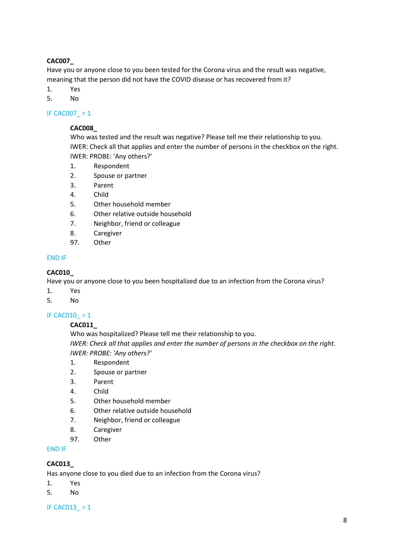## **CAC007\_**

Have you or anyone close to you been tested for the Corona virus and the result was negative, meaning that the person did not have the COVID disease or has recovered from it?

- 1. Yes
- 5. No

# IF CAC007\_ = 1

## **CAC008\_**

Who was tested and the result was negative? Please tell me their relationship to you. IWER: Check all that applies and enter the number of persons in the checkbox on the right. IWER: PROBE: 'Any others?'

- 1. Respondent
- 2. Spouse or partner
- 3. Parent
- 4. Child
- 5. Other household member
- 6. Other relative outside household
- 7. Neighbor, friend or colleague
- 8. Caregiver
- 97. Other

#### END IF

#### **CAC010\_**

Have you or anyone close to you been hospitalized due to an infection from the Corona virus?

- 1. Yes
- 5. No

#### IF CAC010\_ = 1

#### **CAC011\_**

Who was hospitalized? Please tell me their relationship to you. *IWER: Check all that applies and enter the number of persons in the checkbox on the right. IWER: PROBE: 'Any others?'* 

- 1. Respondent
- 2. Spouse or partner
- 3. Parent
- 4. Child
- 5. Other household member
- 6. Other relative outside household
- 7. Neighbor, friend or colleague
- 8. Caregiver
- 97. Other

#### END IF

## **CAC013\_**

Has anyone close to you died due to an infection from the Corona virus?

- 1. Yes
- 5. No

#### IF CAC013  $= 1$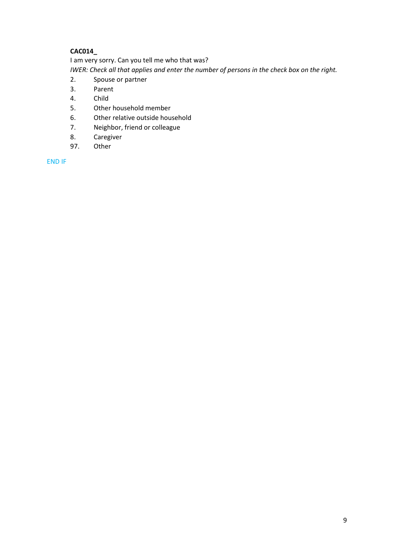# **CAC014\_**

I am very sorry. Can you tell me who that was?

*IWER: Check all that applies and enter the number of persons in the check box on the right.* 

- 2. Spouse or partner
- 3. Parent
- 4. Child
- 5. Other household member
- 6. Other relative outside household
- 7. Neighbor, friend or colleague
- 8. Caregiver
- 97. Other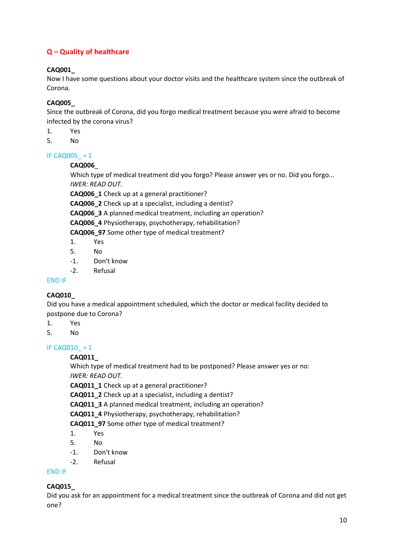# **Q – Quality of healthcare**

# **CAQ001\_**

Now I have some questions about your doctor visits and the healthcare system since the outbreak of Corona.

# **CAQ005\_**

Since the outbreak of Corona, did you forgo medical treatment because you were afraid to become infected by the corona virus?

- 1. Yes
- 5. No

#### IF CAQ005\_ = 1

## **CAQ006**\_

Which type of medical treatment did you forgo? Please answer yes or no. Did you forgo... *IWER: READ OUT.* 

**CAQ006\_1** Check up at a general practitioner? **CAQ006\_2** Check up at a specialist, including a dentist? **CAQ006\_3** A planned medical treatment, including an operation? **CAQ006\_4** Physiotherapy, psychotherapy, rehabilitation?

**CAQ006\_97** Some other type of medical treatment?

- 1. Yes
- 5. No
- -1. Don't know
- -2. Refusal

# END IF

# **CAQ010\_**

Did you have a medical appointment scheduled, which the doctor or medical facility decided to postpone due to Corona?

- 1. Yes
- 5. No

# IF CAQ010  $= 1$

## **CAQ011\_**

Which type of medical treatment had to be postponed? Please answer yes or no: *IWER: READ OUT.* 

**CAQ011\_1** Check up at a general practitioner?

**CAQ011\_2** Check up at a specialist, including a dentist?

**CAQ011\_3** A planned medical treatment, including an operation?

**CAQ011\_4** Physiotherapy, psychotherapy, rehabilitation?

**CAQ011\_97** Some other type of medical treatment?

- 1. Yes
- 5. No
- -1. Don't know
- -2. Refusal

## END IF

# **CAQ015\_**

Did you ask for an appointment for a medical treatment since the outbreak of Corona and did not get one?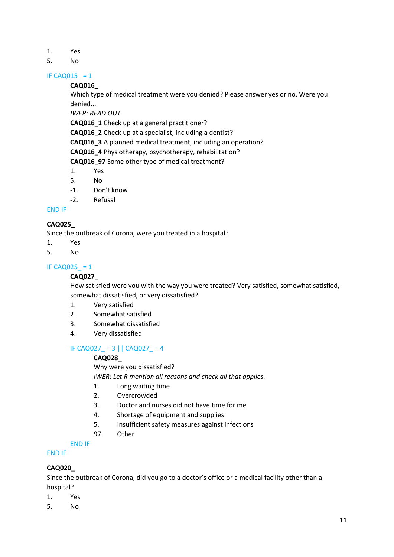- 1. Yes
- 5. No

#### IF CAQ015\_ = 1

#### **CAQ016\_**

Which type of medical treatment were you denied? Please answer yes or no. Were you denied...

*IWER: READ OUT.* 

**CAQ016\_1** Check up at a general practitioner?

**CAQ016\_2** Check up at a specialist, including a dentist?

**CAQ016\_3** A planned medical treatment, including an operation?

**CAQ016\_4** Physiotherapy, psychotherapy, rehabilitation?

**CAQ016\_97** Some other type of medical treatment?

- 1. Yes
- 5. No
- -1. Don't know
- -2. Refusal

#### END IF

## **CAQ025\_**

Since the outbreak of Corona, were you treated in a hospital?

- 1. Yes
- 5. No

#### IF CAQ025  $= 1$

#### **CAQ027\_**

How satisfied were you with the way you were treated? Very satisfied, somewhat satisfied, somewhat dissatisfied, or very dissatisfied?

- 1. Very satisfied
- 2. Somewhat satisfied
- 3. Somewhat dissatisfied
- 4. Very dissatisfied

# IF CAQ027  $= 3$  || CAQ027  $= 4$

#### **CAQ028\_**

Why were you dissatisfied? *IWER: Let R mention all reasons and check all that applies.* 

- 1. Long waiting time
- 2. Overcrowded
- 3. Doctor and nurses did not have time for me
- 4. Shortage of equipment and supplies
- 5. Insufficient safety measures against infections
- 97. Other
- END IF

## END IF

## **CAQ020\_**

Since the outbreak of Corona, did you go to a doctor's office or a medical facility other than a hospital?

- 1. Yes
- 5. No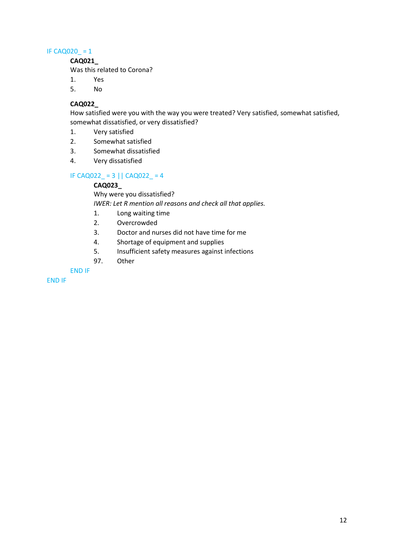#### IF CAQ020\_ = 1

**CAQ021\_**

Was this related to Corona?

- 1. Yes
- 5. No

#### **CAQ022\_**

How satisfied were you with the way you were treated? Very satisfied, somewhat satisfied, somewhat dissatisfied, or very dissatisfied?

- 1. Very satisfied
- 2. Somewhat satisfied
- 3. Somewhat dissatisfied
- 4. Very dissatisfied

## IF CAQ022\_ = 3 || CAQ022\_ = 4

## **CAQ023\_**

Why were you dissatisfied?

*IWER: Let R mention all reasons and check all that applies.* 

- 1. Long waiting time
- 2. Overcrowded
- 3. Doctor and nurses did not have time for me
- 4. Shortage of equipment and supplies
- 5. Insufficient safety measures against infections
- 97. Other

END IF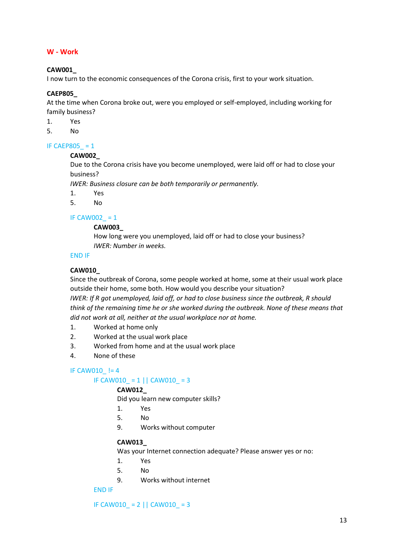## **W - Work**

#### **CAW001\_**

I now turn to the economic consequences of the Corona crisis, first to your work situation.

#### **CAEP805\_**

At the time when Corona broke out, were you employed or self-employed, including working for family business?

1. Yes

5. No

#### IF CAEP805  $= 1$

**CAW002\_**

Due to the Corona crisis have you become unemployed, were laid off or had to close your business?

*IWER: Business closure can be both temporarily or permanently.* 

- 1. Yes
- 5. No

# IF CAW002  $= 1$

**CAW003\_**

How long were you unemployed, laid off or had to close your business? *IWER: Number in weeks.* 

# END IF

#### **CAW010\_**

Since the outbreak of Corona, some people worked at home, some at their usual work place outside their home, some both. How would you describe your situation?

*IWER: If R got unemployed, laid off, or had to close business since the outbreak, R should think of the remaining time he or she worked during the outbreak. None of these means that did not work at all, neither at the usual workplace nor at home.* 

- 1. Worked at home only
- 2. Worked at the usual work place
- 3. Worked from home and at the usual work place
- 4. None of these

## IF CAW010  $!= 4$

## IF CAW010 = 1 || CAW010 = 3

#### **CAW012\_**

Did you learn new computer skills?

- 1. Yes
- 5. No
- 9. Works without computer

#### **CAW013\_**

Was your Internet connection adequate? Please answer yes or no:

- 1. Yes
- 5. No
- 9. Works without internet

# END IF

IF CAW010 = 2  $|$  CAW010 = 3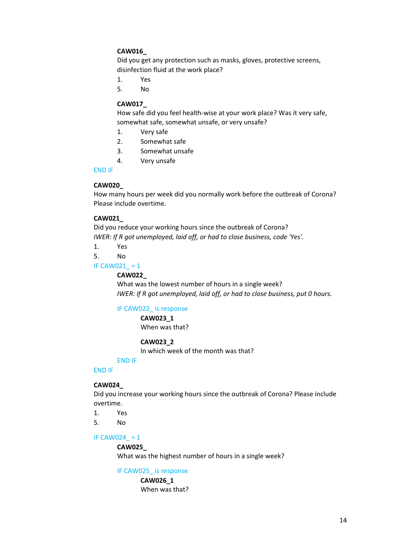## **CAW016\_**

Did you get any protection such as masks, gloves, protective screens, disinfection fluid at the work place?

- 1. Yes
- 5. No

#### **CAW017\_**

How safe did you feel health-wise at your work place? Was it very safe, somewhat safe, somewhat unsafe, or very unsafe?

- 1. Very safe
- 2. Somewhat safe
- 3. Somewhat unsafe
- 4. Very unsafe

#### END IF

#### **CAW020\_**

How many hours per week did you normally work before the outbreak of Corona? Please include overtime.

#### **CAW021\_**

Did you reduce your working hours since the outbreak of Corona? *IWER: If R got unemployed, laid off, or had to close business, code 'Yes'.* 

1. Yes

5. No

#### IF CAW021  $= 1$

#### **CAW022\_**

What was the lowest number of hours in a single week? *IWER: If R got unemployed, laid off, or had to close business, put 0 hours.* 

#### IF CAW022\_ is response

**CAW023\_1** When was that?

#### **CAW023\_2**

In which week of the month was that?

# END IF

# END IF

#### **CAW024\_**

Did you increase your working hours since the outbreak of Corona? Please include overtime.

1. Yes

5. No

#### IF CAW024  $= 1$

#### **CAW025\_**

What was the highest number of hours in a single week?

#### IF CAW025 is response

**CAW026\_1** When was that?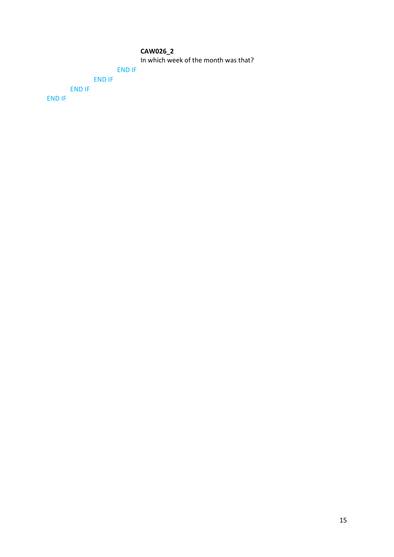#### **CAW026\_2**

In which week of the month was that?

# END IF

END IF END IF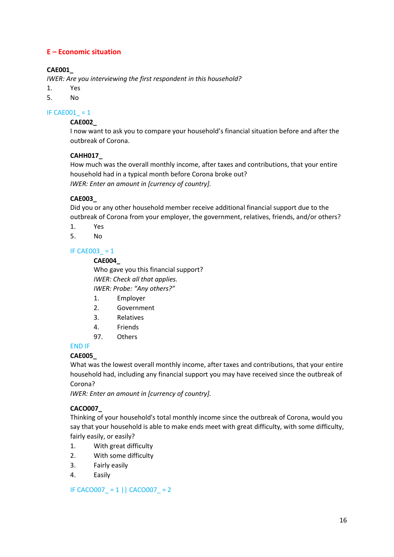# **E – Economic situation**

# **CAE001\_**

*IWER: Are you interviewing the first respondent in this household?* 

- 1. Yes
- 5. No

#### IF CAE001  $= 1$

## **CAE002\_**

I now want to ask you to compare your household's financial situation before and after the outbreak of Corona.

#### **CAHH017\_**

How much was the overall monthly income, after taxes and contributions, that your entire household had in a typical month before Corona broke out? *IWER: Enter an amount in [currency of country].* 

## **CAE003\_**

Did you or any other household member receive additional financial support due to the outbreak of Corona from your employer, the government, relatives, friends, and/or others?

- 1. Yes
- 5. No

#### IF CAE003  $= 1$

#### **CAE004\_**

Who gave you this financial support? *IWER: Check all that applies. IWER: Probe: "Any others?"* 

- 1. Employer
- 2. Government
- 3. Relatives
- 4. Friends
- 97. Others

## END IF

#### **CAE005\_**

What was the lowest overall monthly income, after taxes and contributions, that your entire household had, including any financial support you may have received since the outbreak of Corona?

*IWER: Enter an amount in [currency of country].* 

## **CACO007\_**

Thinking of your household's total monthly income since the outbreak of Corona, would you say that your household is able to make ends meet with great difficulty, with some difficulty, fairly easily, or easily?

- 1. With great difficulty
- 2. With some difficulty
- 3. Fairly easily
- 4. Easily

IF CACO007 = 1 || CACO007 = 2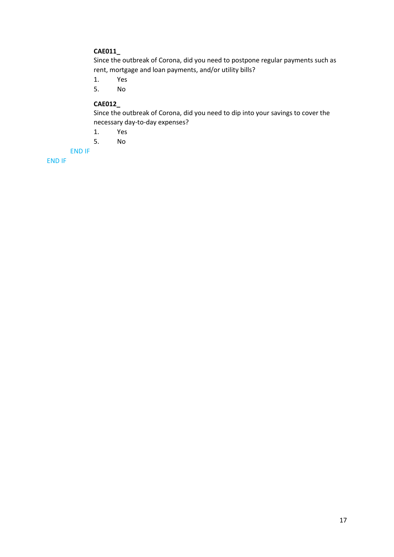# **CAE011\_**

Since the outbreak of Corona, did you need to postpone regular payments such as rent, mortgage and loan payments, and/or utility bills?

1. Yes

5. No

# **CAE012\_**

Since the outbreak of Corona, did you need to dip into your savings to cover the necessary day-to-day expenses?

- 1. Yes
- 5. No

END IF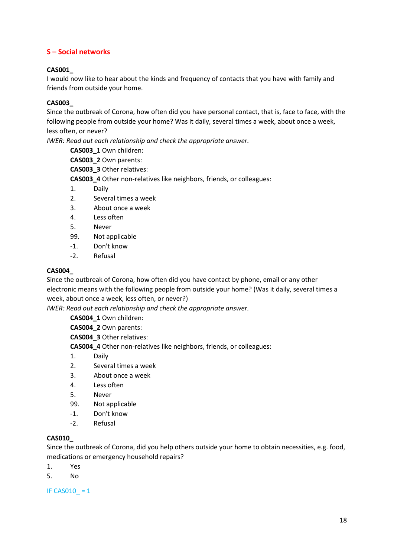# **S – Social networks**

## **CAS001\_**

I would now like to hear about the kinds and frequency of contacts that you have with family and friends from outside your home.

#### **CAS003\_**

Since the outbreak of Corona, how often did you have personal contact, that is, face to face, with the following people from outside your home? Was it daily, several times a week, about once a week, less often, or never?

*IWER: Read out each relationship and check the appropriate answer.* 

**CAS003\_1** Own children:

**CAS003\_2** Own parents:

**CAS003\_3** Other relatives:

**CAS003\_4** Other non-relatives like neighbors, friends, or colleagues:

- 1. Daily
- 2. Several times a week
- 3. About once a week
- 4. Less often
- 5. Never
- 99. Not applicable
- -1. Don't know
- -2. Refusal

#### **CAS004\_**

Since the outbreak of Corona, how often did you have contact by phone, email or any other electronic means with the following people from outside your home? (Was it daily, several times a week, about once a week, less often, or never?)

*IWER: Read out each relationship and check the appropriate answer.* 

**CAS004\_1** Own children:

**CAS004\_2** Own parents:

**CAS004\_3** Other relatives:

**CAS004\_4** Other non-relatives like neighbors, friends, or colleagues:

- 1. Daily
- 2. Several times a week
- 3. About once a week
- 4. Less often
- 5. Never
- 99. Not applicable
- -1. Don't know
- -2. Refusal

#### **CAS010\_**

Since the outbreak of Corona, did you help others outside your home to obtain necessities, e.g. food, medications or emergency household repairs?

- 1. Yes
- 5. No

IF CAS010  $= 1$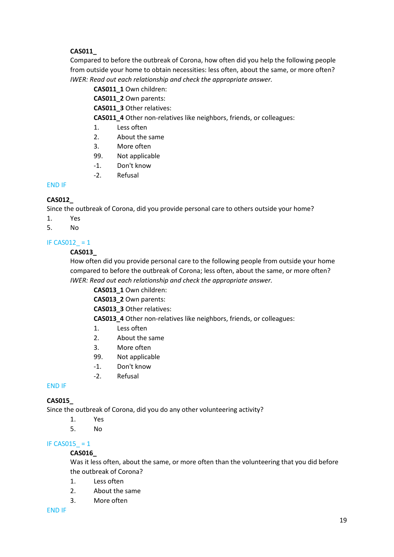# **CAS011\_**

Compared to before the outbreak of Corona, how often did you help the following people from outside your home to obtain necessities: less often, about the same, or more often? *IWER: Read out each relationship and check the appropriate answer.* 

**CAS011\_1** Own children:

**CAS011\_2** Own parents:

**CAS011\_3** Other relatives:

**CAS011\_4** Other non-relatives like neighbors, friends, or colleagues:

- 1. Less often
- 2. About the same
- 3. More often
- 99. Not applicable
- -1. Don't know
- -2. Refusal

#### END IF

## **CAS012\_**

Since the outbreak of Corona, did you provide personal care to others outside your home?

1. Yes

5. No

## IF CAS012  $= 1$

#### **CAS013\_**

How often did you provide personal care to the following people from outside your home compared to before the outbreak of Corona; less often, about the same, or more often? *IWER: Read out each relationship and check the appropriate answer.* 

**CAS013\_1** Own children:

**CAS013\_2** Own parents:

**CAS013\_3** Other relatives:

**CAS013\_4** Other non-relatives like neighbors, friends, or colleagues:

- 1. Less often
- 2. About the same
- 3. More often
- 99. Not applicable
- -1. Don't know
- -2. Refusal

#### END IF

## **CAS015\_**

Since the outbreak of Corona, did you do any other volunteering activity?

- 1. Yes
- 5. No

## IF CAS015 $= 1$

## **CAS016\_**

Was it less often, about the same, or more often than the volunteering that you did before the outbreak of Corona?

- 1. Less often
- 2. About the same
- 3. More often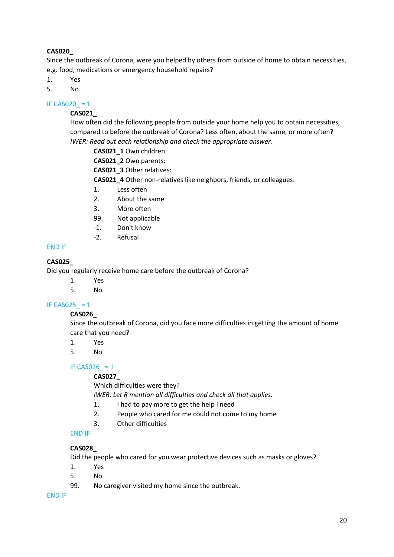# **CAS020\_**

Since the outbreak of Corona, were you helped by others from outside of home to obtain necessities, e.g. food, medications or emergency household repairs?

- 1. Yes
- 5. No

IF CAS020  $= 1$ 

# **CAS021\_**

How often did the following people from outside your home help you to obtain necessities, compared to before the outbreak of Corona? Less often, about the same, or more often? *IWER: Read out each relationship and check the appropriate answer.* 

- **CAS021\_1** Own children:
- **CAS021\_2** Own parents:
- **CAS021\_3** Other relatives:

**CAS021\_4** Other non-relatives like neighbors, friends, or colleagues:

- 1. Less often
- 2. About the same
- 3. More often
- 99. Not applicable
- -1. Don't know
- -2. Refusal

#### END IF

## **CAS025\_**

Did you regularly receive home care before the outbreak of Corona?

- 1. Yes
- 5. No

## IF CAS025  $= 1$

#### **CAS026\_**

Since the outbreak of Corona, did you face more difficulties in getting the amount of home care that you need?

- 1. Yes
- 5. No

#### IF CAS026  $= 1$

#### **CAS027\_**

Which difficulties were they?

*IWER: Let R mention all difficulties and check all that applies.* 

- 1. I had to pay more to get the help I need
- 2. People who cared for me could not come to my home
- 3. Other difficulties

## END IF

#### **CAS028\_**

Did the people who cared for you wear protective devices such as masks or gloves?

- 1. Yes
- 5. No
- 99. No caregiver visited my home since the outbreak.